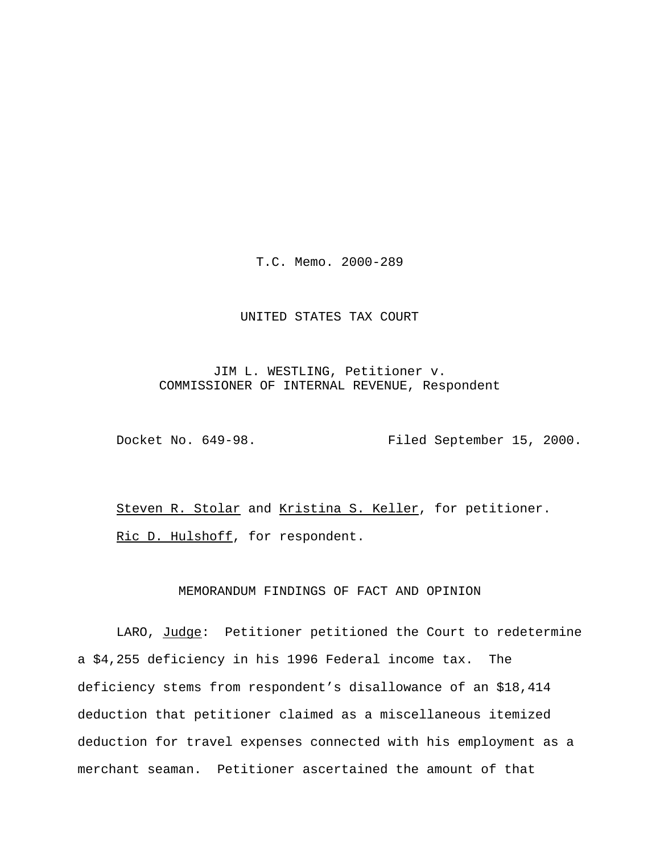T.C. Memo. 2000-289

## UNITED STATES TAX COURT

JIM L. WESTLING, Petitioner v. COMMISSIONER OF INTERNAL REVENUE, Respondent

Docket No. 649-98. Filed September 15, 2000.

Steven R. Stolar and Kristina S. Keller, for petitioner. Ric D. Hulshoff, for respondent.

## MEMORANDUM FINDINGS OF FACT AND OPINION

LARO, Judge: Petitioner petitioned the Court to redetermine a \$4,255 deficiency in his 1996 Federal income tax. The deficiency stems from respondent's disallowance of an \$18,414 deduction that petitioner claimed as a miscellaneous itemized deduction for travel expenses connected with his employment as a merchant seaman. Petitioner ascertained the amount of that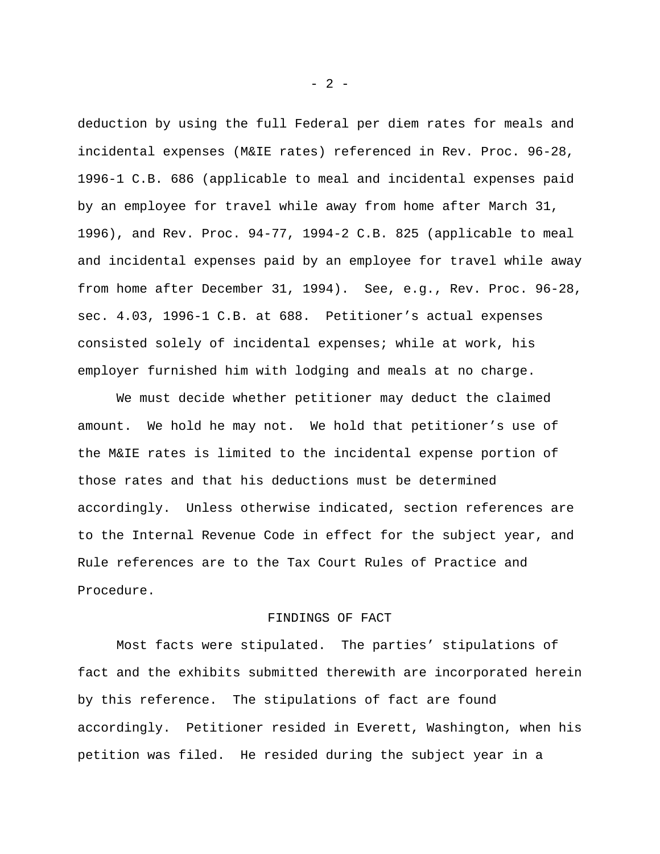deduction by using the full Federal per diem rates for meals and incidental expenses (M&IE rates) referenced in Rev. Proc. 96-28, 1996-1 C.B. 686 (applicable to meal and incidental expenses paid by an employee for travel while away from home after March 31, 1996), and Rev. Proc. 94-77, 1994-2 C.B. 825 (applicable to meal and incidental expenses paid by an employee for travel while away from home after December 31, 1994). See, e.g., Rev. Proc. 96-28, sec. 4.03, 1996-1 C.B. at 688. Petitioner's actual expenses consisted solely of incidental expenses; while at work, his employer furnished him with lodging and meals at no charge.

We must decide whether petitioner may deduct the claimed amount. We hold he may not. We hold that petitioner's use of the M&IE rates is limited to the incidental expense portion of those rates and that his deductions must be determined accordingly. Unless otherwise indicated, section references are to the Internal Revenue Code in effect for the subject year, and Rule references are to the Tax Court Rules of Practice and Procedure.

## FINDINGS OF FACT

Most facts were stipulated. The parties' stipulations of fact and the exhibits submitted therewith are incorporated herein by this reference. The stipulations of fact are found accordingly. Petitioner resided in Everett, Washington, when his petition was filed. He resided during the subject year in a

- 2 -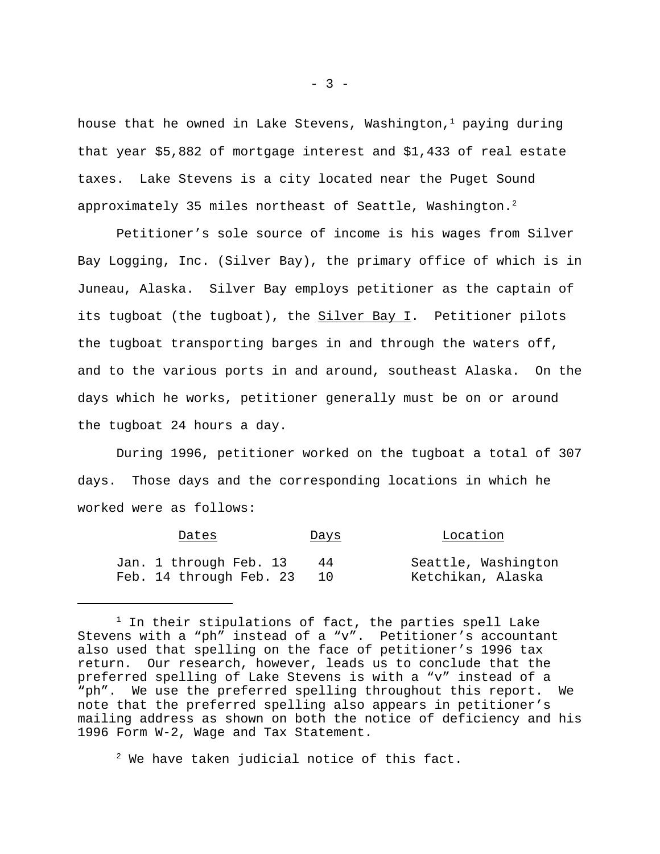house that he owned in Lake Stevens, Washington,<sup>1</sup> paying during that year \$5,882 of mortgage interest and \$1,433 of real estate taxes. Lake Stevens is a city located near the Puget Sound approximately 35 miles northeast of Seattle, Washington.<sup>2</sup>

Petitioner's sole source of income is his wages from Silver Bay Logging, Inc. (Silver Bay), the primary office of which is in Juneau, Alaska. Silver Bay employs petitioner as the captain of its tugboat (the tugboat), the Silver Bay I. Petitioner pilots the tugboat transporting barges in and through the waters off, and to the various ports in and around, southeast Alaska. On the days which he works, petitioner generally must be on or around the tugboat 24 hours a day.

During 1996, petitioner worked on the tugboat a total of 307 days. Those days and the corresponding locations in which he worked were as follows:

| Dates                   |    | Location            |
|-------------------------|----|---------------------|
| Jan. 1 through Feb. 13  | 44 | Seattle, Washington |
| Feb. 14 through Feb. 23 |    | Ketchikan, Alaska   |

 $1$  In their stipulations of fact, the parties spell Lake Stevens with a "ph" instead of a "v". Petitioner's accountant also used that spelling on the face of petitioner's 1996 tax return. Our research, however, leads us to conclude that the preferred spelling of Lake Stevens is with a "v" instead of a "ph". We use the preferred spelling throughout this report. We note that the preferred spelling also appears in petitioner's mailing address as shown on both the notice of deficiency and his 1996 Form W-2, Wage and Tax Statement.

 $2$  We have taken judicial notice of this fact.

 $- 3 -$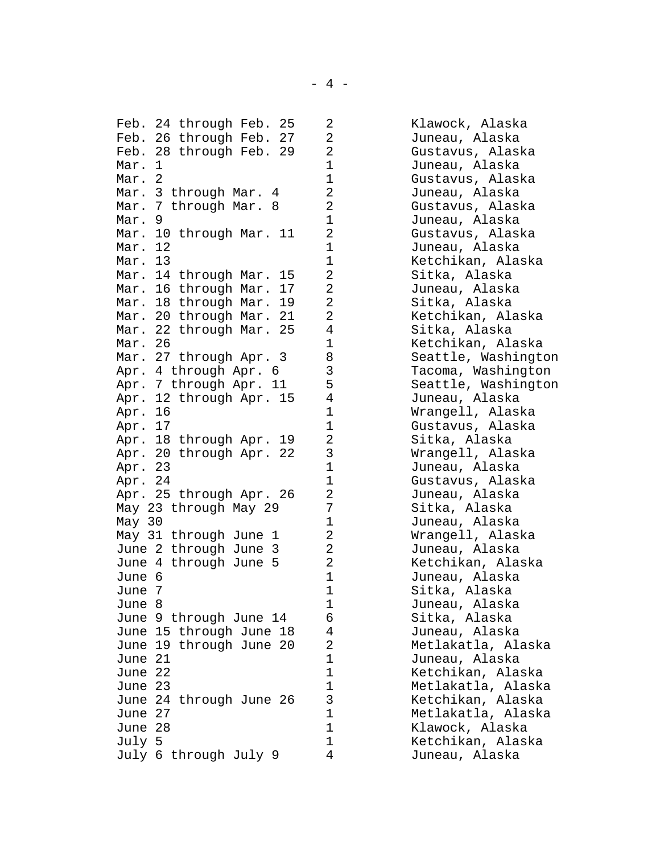Feb. 26 through Feb. 27 2 Juneau, Alaska Feb. 28 through Feb. 29 2 Gustavus, Alaska Mar. 1 1 Juneau, Alaska Mar. 2 1 Gustavus, Alaska Mar. 3 through Mar. 4 2 3 Juneau, Alaska Mar. 7 through Mar. 8 2 Gustavus, Alaska Mar. 9 1 Juneau, Alaska Mar. 10 through Mar. 11 2 Gustavus, Alaska Mar. 12 1 Juneau, Alaska Mar. 14 through Mar. 15 2 Sitka, Alaska Mar. 16 through Mar. 17 2 Juneau, Alaska Mar. 18 through Mar. 19 2 Sitka, Alaska Mar. 20 through Mar. 21 2 Ketchikan, Alaska Mar. 22 through Mar. 25 4 Sitka, Alaska Mar. 26 **1** 1 Ketchikan, Alaska Mar. 27 through Apr. 3 8 Seattle, Washington Apr. 4 through Apr. 6 3 3 Tacoma, Washington Apr. 7 through Apr. 11 5 5 Seattle, Washington Apr. 12 through Apr. 15 4 Juneau, Alaska Apr. 16 1 Wrangell, Alaska Apr. 17 1 Gustavus, Alaska Apr. 18 through Apr. 19 2 Sitka, Alaska Apr. 20 through Apr. 22 3 Wrangell, Alaska Apr. 23 1 Juneau, Alaska Apr. 24 1 Gustavus, Alaska Apr. 25 through Apr. 26 2 Juneau, Alaska May 23 through May 29 7 Sitka, Alaska May 30 1 Juneau, Alaska May 31 through June 1 2 2 Wrangell, Alaska June 2 through June 3 2 Juneau, Alaska June 4 through June 5 2 Ketchikan, Alaska June 6 1 1 Juneau, Alaska June 7 1 Sitka, Alaska June 8 1 Juneau, Alaska June 9 through June 14 6 Sitka, Alaska June 15 through June 18 4 Juneau, Alaska June 19 through June 20 2 Metlakatla, Alaska June 21 1 Juneau, Alaska June 22 1 Ketchikan, Alaska June 23 1 Metlakatla, Alaska June 24 through June 26 3 Ketchikan, Alaska June 27 1 Metlakatla, Alaska June 28 1 Klawock, Alaska July 5 1 Ketchikan, Alaska July 6 through July 9 4 Juneau, Alaska

Feb. 24 through Feb. 25 2 Klawock, Alaska 1 Ketchikan, Alaska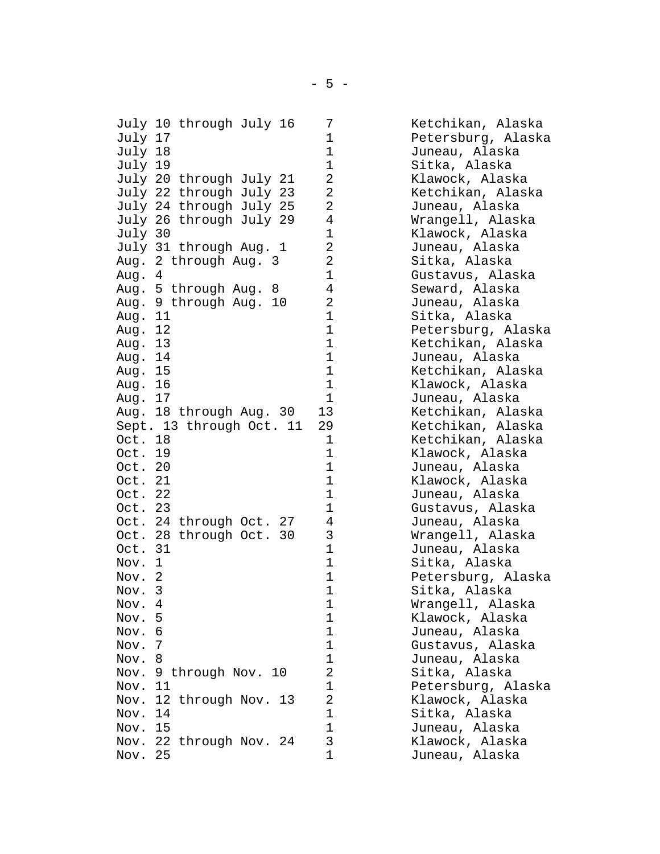July 17 1 Petersburg, Alaska July 18 1 1 Juneau, Alaska July 19 1 1 Sitka, Alaska July 20 through July 21 2 Klawock, Alaska July 22 through July 23 2 Ketchikan, Alaska July 24 through July 25 2 Juneau, Alaska July 26 through July 29 4 Wrangell, Alaska July 30 1 Klawock, Alaska July 31 through Aug. 1 2 Juneau, Alaska Aug. 2 through Aug. 3 2 3 Sitka, Alaska Aug. 4 1 Gustavus, Alaska Aug. 5 through Aug. 8 4 5 Seward, Alaska Aug. 9 through Aug. 10 2 Juneau, Alaska Aug. 11 1 Sitka, Alaska Aug. 12 1 Petersburg, Alaska Aug. 13 1 Ketchikan, Alaska Aug. 14 1 Juneau, Alaska Aug. 15 1 Ketchikan, Alaska Aug. 16 1 1 Klawock, Alaska Aug. 17 1 Juneau, Alaska Aug. 18 through Aug. 30 13 Ketchikan, Alaska Sept. 13 through Oct. 11 29 Ketchikan, Alaska<br>Oct. 18 1 Ketchikan, Alaska Oct. 19 1 Klawock, Alaska Oct. 20 1 Juneau, Alaska Oct. 21 1 Klawock, Alaska Oct. 23 and 1 Gustavus, Alaska Oct. 24 through Oct. 27 4 Juneau, Alaska Oct. 28 through Oct. 30 3 Wrangell, Alaska Oct. 31 1 Juneau, Alaska Nov. 1 1 Sitka, Alaska Nov. 2 1 Petersburg, Alaska Nov. 3 1 Sitka, Alaska Nov. 4 1 Wrangell, Alaska Nov. 5 1 Klawock, Alaska Nov. 6 1 Juneau, Alaska Nov. 7 1 Gustavus, Alaska Nov. 8 1 Juneau, Alaska Nov. 9 through Nov. 10 2 3itka, Alaska Nov. 11 1 Petersburg, Alaska Nov. 12 through Nov. 13 2 Klawock, Alaska Nov. 14 1 Sitka, Alaska Nov. 15 1 Juneau, Alaska Nov. 22 through Nov. 24 3 Klawock, Alaska Nov. 25 1 Juneau, Alaska

July 10 through July 16 7 Ketchikan, Alaska 1 Ketchikan, Alaska 1 Juneau, Alaska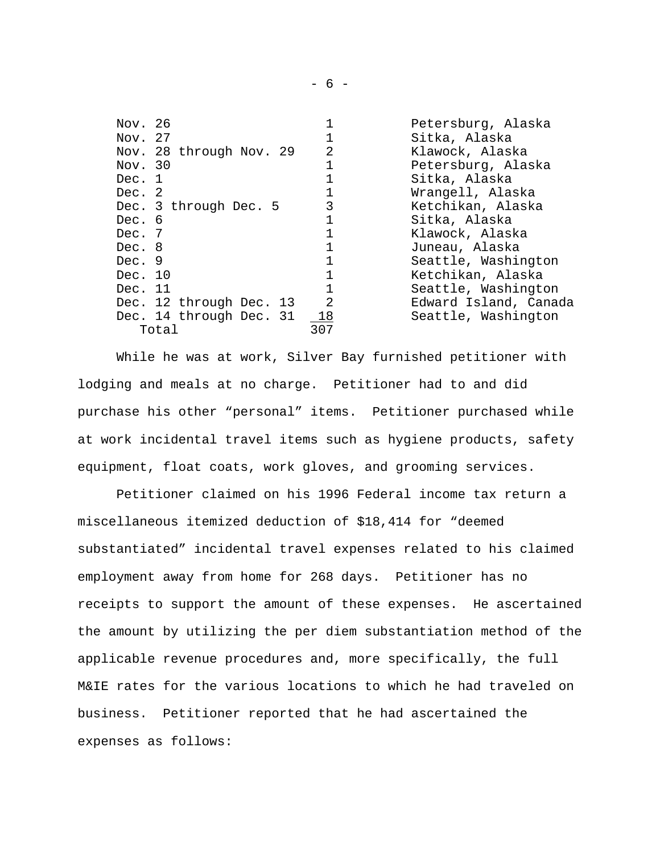|     | Petersburg, Alaska    |
|-----|-----------------------|
|     | Sitka, Alaska         |
| 2   | Klawock, Alaska       |
|     | Petersburg, Alaska    |
|     | Sitka, Alaska         |
|     | Wrangell, Alaska      |
| 3   | Ketchikan, Alaska     |
|     | Sitka, Alaska         |
|     | Klawock, Alaska       |
|     | Juneau, Alaska        |
|     | Seattle, Washington   |
|     | Ketchikan, Alaska     |
|     | Seattle, Washington   |
| 2   | Edward Island, Canada |
| 18  | Seattle, Washington   |
| 307 |                       |
|     |                       |

While he was at work, Silver Bay furnished petitioner with lodging and meals at no charge. Petitioner had to and did purchase his other "personal" items. Petitioner purchased while at work incidental travel items such as hygiene products, safety equipment, float coats, work gloves, and grooming services.

Petitioner claimed on his 1996 Federal income tax return a miscellaneous itemized deduction of \$18,414 for "deemed substantiated" incidental travel expenses related to his claimed employment away from home for 268 days. Petitioner has no receipts to support the amount of these expenses. He ascertained the amount by utilizing the per diem substantiation method of the applicable revenue procedures and, more specifically, the full M&IE rates for the various locations to which he had traveled on business. Petitioner reported that he had ascertained the expenses as follows:

- 6 -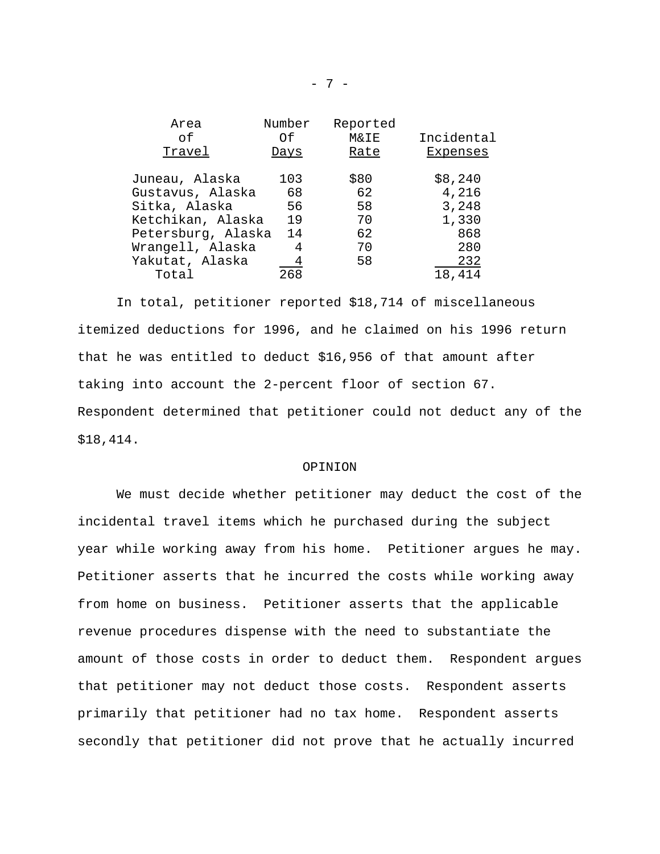| Area               | Number | Reported |            |
|--------------------|--------|----------|------------|
| of.                | Οf     | M&IE     | Incidental |
| Travel             | Days   | Rate     | Expenses   |
| Juneau, Alaska     | 103    | \$80     | \$8,240    |
| Gustavus, Alaska   | 68     | 62       | 4,216      |
| Sitka, Alaska      | 56     | 58       | 3,248      |
| Ketchikan, Alaska  | 19     | 70       | 1,330      |
| Petersburg, Alaska | 14     | 62       | 868        |
| Wrangell, Alaska   | 4      | 70       | 280        |
| Yakutat, Alaska    | 4      | 58       | 232        |
| Total              | 268    |          | 18,414     |

In total, petitioner reported \$18,714 of miscellaneous itemized deductions for 1996, and he claimed on his 1996 return that he was entitled to deduct \$16,956 of that amount after taking into account the 2-percent floor of section 67. Respondent determined that petitioner could not deduct any of the \$18,414.

## OPINION

We must decide whether petitioner may deduct the cost of the incidental travel items which he purchased during the subject year while working away from his home. Petitioner argues he may. Petitioner asserts that he incurred the costs while working away from home on business. Petitioner asserts that the applicable revenue procedures dispense with the need to substantiate the amount of those costs in order to deduct them. Respondent argues that petitioner may not deduct those costs. Respondent asserts primarily that petitioner had no tax home. Respondent asserts secondly that petitioner did not prove that he actually incurred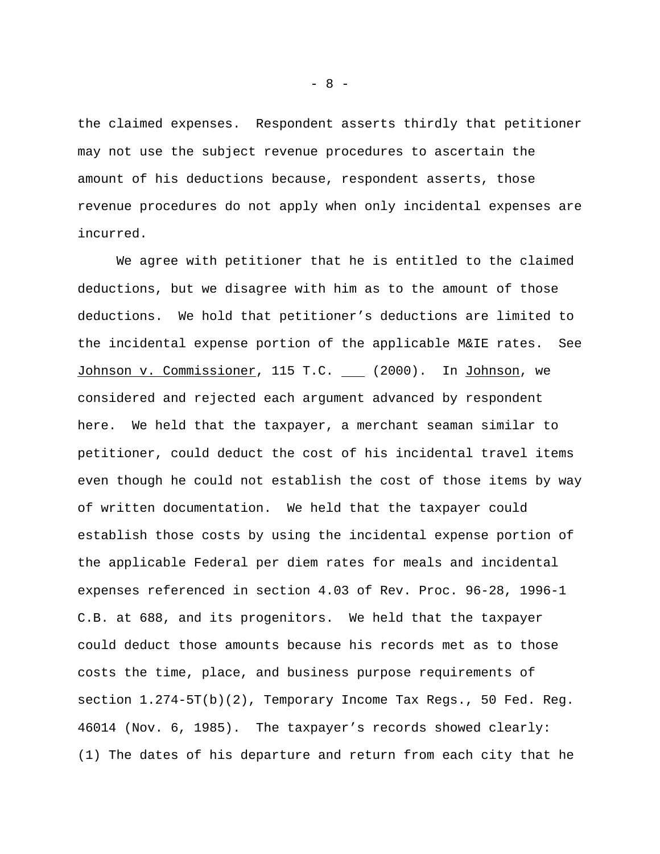the claimed expenses. Respondent asserts thirdly that petitioner may not use the subject revenue procedures to ascertain the amount of his deductions because, respondent asserts, those revenue procedures do not apply when only incidental expenses are incurred.

We agree with petitioner that he is entitled to the claimed deductions, but we disagree with him as to the amount of those deductions. We hold that petitioner's deductions are limited to the incidental expense portion of the applicable M&IE rates. See Johnson v. Commissioner, 115 T.C. (2000). In Johnson, we considered and rejected each argument advanced by respondent here. We held that the taxpayer, a merchant seaman similar to petitioner, could deduct the cost of his incidental travel items even though he could not establish the cost of those items by way of written documentation. We held that the taxpayer could establish those costs by using the incidental expense portion of the applicable Federal per diem rates for meals and incidental expenses referenced in section 4.03 of Rev. Proc. 96-28, 1996-1 C.B. at 688, and its progenitors. We held that the taxpayer could deduct those amounts because his records met as to those costs the time, place, and business purpose requirements of section 1.274-5T(b)(2), Temporary Income Tax Regs., 50 Fed. Reg. 46014 (Nov. 6, 1985). The taxpayer's records showed clearly: (1) The dates of his departure and return from each city that he

- 8 -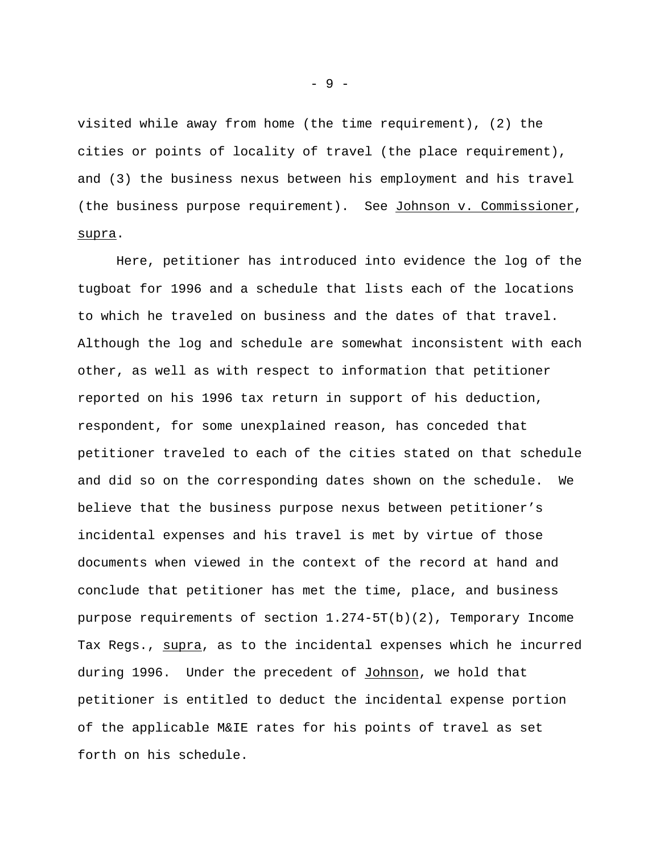visited while away from home (the time requirement), (2) the cities or points of locality of travel (the place requirement), and (3) the business nexus between his employment and his travel (the business purpose requirement). See Johnson v. Commissioner, supra.

Here, petitioner has introduced into evidence the log of the tugboat for 1996 and a schedule that lists each of the locations to which he traveled on business and the dates of that travel. Although the log and schedule are somewhat inconsistent with each other, as well as with respect to information that petitioner reported on his 1996 tax return in support of his deduction, respondent, for some unexplained reason, has conceded that petitioner traveled to each of the cities stated on that schedule and did so on the corresponding dates shown on the schedule. We believe that the business purpose nexus between petitioner's incidental expenses and his travel is met by virtue of those documents when viewed in the context of the record at hand and conclude that petitioner has met the time, place, and business purpose requirements of section  $1.274 - 5T(b)(2)$ , Temporary Income Tax Regs., supra, as to the incidental expenses which he incurred during 1996. Under the precedent of Johnson, we hold that petitioner is entitled to deduct the incidental expense portion of the applicable M&IE rates for his points of travel as set forth on his schedule.

- 9 -